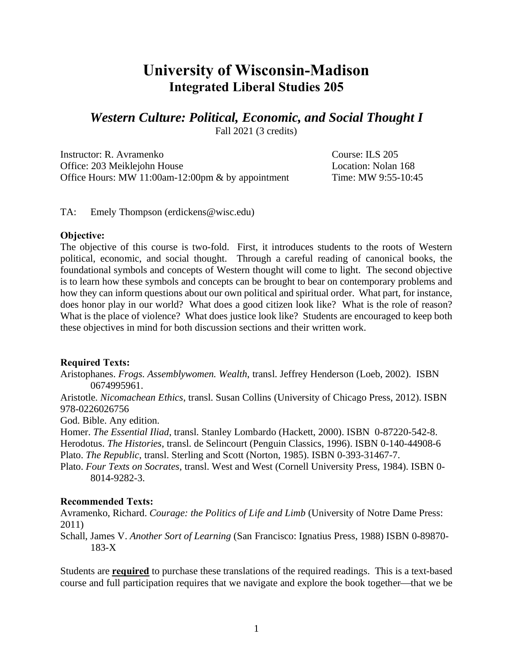# **University of Wisconsin-Madison Integrated Liberal Studies 205**

# *Western Culture: Political, Economic, and Social Thought I*

Fall 2021 (3 credits)

Instructor: R. Avramenko Course: ILS 205 Office: 203 Meiklejohn House Location: Nolan 168 Office Hours: MW 11:00am-12:00pm & by appointment Time: MW 9:55-10:45

TA: Emely Thompson (erdickens@wisc.edu)

#### **Objective:**

The objective of this course is two-fold. First, it introduces students to the roots of Western political, economic, and social thought. Through a careful reading of canonical books, the foundational symbols and concepts of Western thought will come to light. The second objective is to learn how these symbols and concepts can be brought to bear on contemporary problems and how they can inform questions about our own political and spiritual order. What part, for instance, does honor play in our world? What does a good citizen look like? What is the role of reason? What is the place of violence? What does justice look like? Students are encouraged to keep both these objectives in mind for both discussion sections and their written work.

#### **Required Texts:**

Aristophanes. *Frogs. Assemblywomen. Wealth*, transl. Jeffrey Henderson (Loeb, 2002). ISBN [0674995961.](http://www.amazon.com/aristophanes-assemblywomen-wealth-classical-library/dp/0674995961/ref=sr_1_1?ie=utf8&s=books&qid=1280953264&sr=8-1)

Aristotle. *Nicomachean Ethics*, transl. Susan Collins (University of Chicago Press, 2012). ISBN 978-0226026756

God. Bible. Any edition.

Homer. *The Essential Iliad*, transl. Stanley Lombardo (Hackett, 2000). ISBN 0-87220-542-8. Herodotus. *The Histories*, transl. de Selincourt (Penguin Classics, 1996). ISBN 0-140-44908-6 Plato. *The Republic*, transl. Sterling and Scott (Norton, 1985). ISBN 0-393-31467-7.

Plato. *Four Texts on Socrates*, transl. West and West (Cornell University Press, 1984). ISBN 0- 8014-9282-3.

#### **Recommended Texts:**

Avramenko, Richard. *Courage: the Politics of Life and Limb* (University of Notre Dame Press: 2011)

Schall, James V. *Another Sort of Learning* (San Francisco: Ignatius Press, 1988) ISBN [0-89870-](http://en.wikipedia.org/wiki/special:booksources/089870183x) [183-X](http://en.wikipedia.org/wiki/special:booksources/089870183x)

Students are **required** to purchase these translations of the required readings. This is a text-based course and full participation requires that we navigate and explore the book together—that we be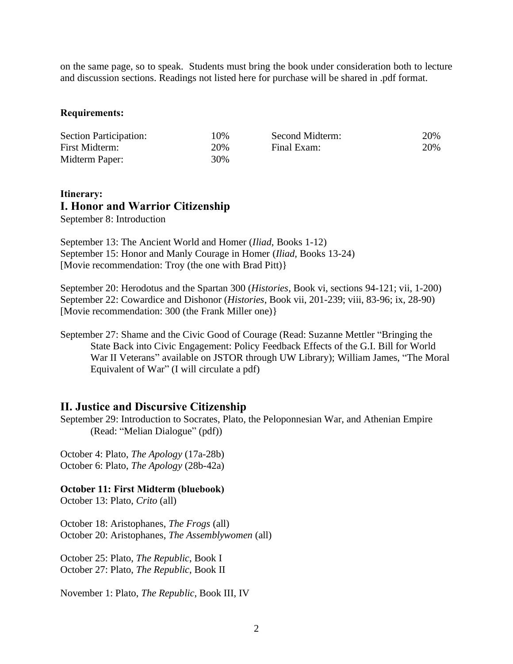on the same page, so to speak. Students must bring the book under consideration both to lecture and discussion sections. Readings not listed here for purchase will be shared in .pdf format.

#### **Requirements:**

| <b>Section Participation:</b> | 10% | Second Midterm: | 20% |
|-------------------------------|-----|-----------------|-----|
| First Midterm:                | 20% | Final Exam:     | 20% |
| Midterm Paper:                | 30% |                 |     |

### **Itinerary: I. Honor and Warrior Citizenship** September 8: Introduction

September 13: The Ancient World and Homer (*Iliad*, Books 1-12) September 15: Honor and Manly Courage in Homer (*Iliad*, Books 13-24) [Movie recommendation: Troy (the one with Brad Pitt)}

September 20: Herodotus and the Spartan 300 (*Histories*, Book vi, sections 94-121; vii, 1-200) September 22: Cowardice and Dishonor (*Histories*, Book vii, 201-239; viii, 83-96; ix, 28-90) [Movie recommendation: 300 (the Frank Miller one)}

September 27: Shame and the Civic Good of Courage (Read: Suzanne Mettler "Bringing the State Back into Civic Engagement: Policy Feedback Effects of the G.I. Bill for World War II Veterans" available on JSTOR through UW Library); William James, "The Moral Equivalent of War" (I will circulate a pdf)

#### **II. Justice and Discursive Citizenship**

September 29: Introduction to Socrates, Plato, the Peloponnesian War, and Athenian Empire (Read: "Melian Dialogue" (pdf))

October 4: Plato, *The Apology* (17a-28b) October 6: Plato, *The Apology* (28b-42a)

#### **October 11: First Midterm (bluebook)**

October 13: Plato, *Crito* (all)

October 18: Aristophanes, *The Frogs* (all) October 20: Aristophanes, *The Assemblywomen* (all)

October 25: Plato, *The Republic*, Book I October 27: Plato, *The Republic*, Book II

November 1: Plato, *The Republic*, Book III, IV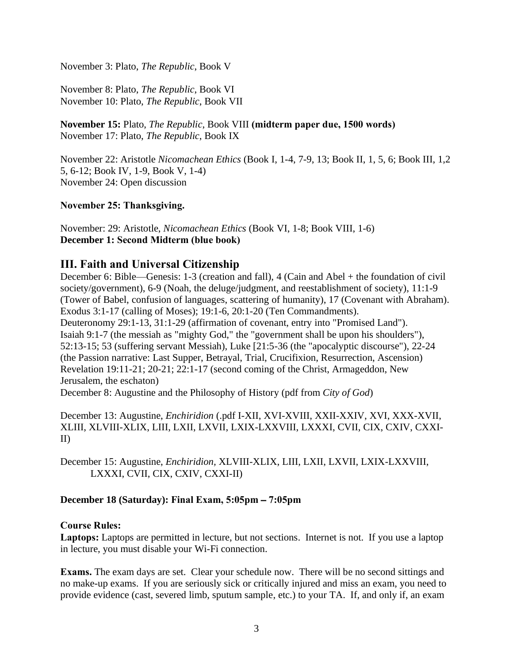November 3: Plato, *The Republic*, Book V

November 8: Plato, *The Republic*, Book VI November 10: Plato, *The Republic*, Book VII

**November 15:** Plato, *The Republic*, Book VIII **(midterm paper due, 1500 words)** November 17: Plato, *The Republic*, Book IX

November 22: Aristotle *Nicomachean Ethics* (Book I, 1-4, 7-9, 13; Book II, 1, 5, 6; Book III, 1,2 5, 6-12; Book IV, 1-9, Book V, 1-4) November 24: Open discussion

**November 25: Thanksgiving.**

November: 29: Aristotle, *Nicomachean Ethics* (Book VI, 1-8; Book VIII, 1-6) **December 1: Second Midterm (blue book)**

## **III. Faith and Universal Citizenship**

December 6: Bible—Genesis: 1-3 (creation and fall), 4 (Cain and Abel + the foundation of civil society/government), 6-9 (Noah, the deluge/judgment, and reestablishment of society), 11:1-9 (Tower of Babel, confusion of languages, scattering of humanity), 17 (Covenant with Abraham). Exodus 3:1-17 (calling of Moses); 19:1-6, 20:1-20 (Ten Commandments). Deuteronomy 29:1-13, 31:1-29 (affirmation of covenant, entry into "Promised Land"). Isaiah 9:1-7 (the messiah as "mighty God," the "government shall be upon his shoulders"), 52:13-15; 53 (suffering servant Messiah), Luke [21:5-36 (the "apocalyptic discourse"), 22-24 (the Passion narrative: Last Supper, Betrayal, Trial, Crucifixion, Resurrection, Ascension) Revelation 19:11-21; 20-21; 22:1-17 (second coming of the Christ, Armageddon, New Jerusalem, the eschaton)

December 8: Augustine and the Philosophy of History (pdf from *City of God*)

December 13: Augustine, *Enchiridion* (.pdf I-XII, XVI-XVIII, XXII-XXIV, XVI, XXX-XVII, XLIII, XLVIII-XLIX, LIII, LXII, LXVII, LXIX-LXXVIII, LXXXI, CVII, CIX, CXIV, CXXI-II)

December 15: Augustine, *Enchiridion,* XLVIII-XLIX, LIII, LXII, LXVII, LXIX-LXXVIII, LXXXI, CVII, CIX, CXIV, CXXI-II)

## **December 18 (Saturday): Final Exam, 5:05pm** – **7:05pm**

## **Course Rules:**

**Laptops:** Laptops are permitted in lecture, but not sections. Internet is not. If you use a laptop in lecture, you must disable your Wi-Fi connection.

**Exams.** The exam days are set. Clear your schedule now. There will be no second sittings and no make-up exams. If you are seriously sick or critically injured and miss an exam, you need to provide evidence (cast, severed limb, sputum sample, etc.) to your TA. If, and only if, an exam